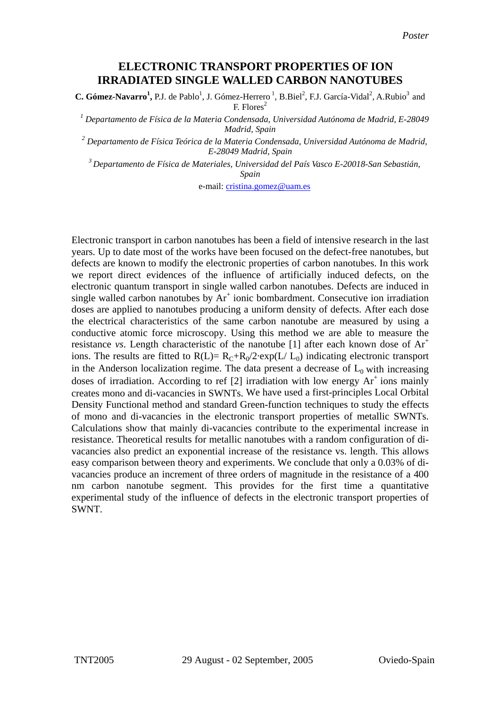## **ELECTRONIC TRANSPORT PROPERTIES OF ION IRRADIATED SINGLE WALLED CARBON NANOTUBES**

**C. Gómez-Navarro<sup>1</sup>**, P.J. de Pablo<sup>1</sup>, J. Gómez-Herrero<sup>1</sup>, B.Biel<sup>2</sup>, F.J. García-Vidal<sup>2</sup>, A.Rubio<sup>3</sup> and F. Flores<sup>2</sup>

*1 Departamento de Física de la Materia Condensada, Universidad Autónoma de Madrid, E-28049 Madrid, Spain* 

*2 Departamento de Física Teórica de la Materia Condensada, Universidad Autónoma de Madrid, E-28049 Madrid, Spain* 

*3 Departamento de Física de Materiales, Universidad del País Vasco E-20018-San Sebastián, Spain* 

e-mail: [cristina.gomez@uam.es](mailto:cristina.gomez@uam.es)

Electronic transport in carbon nanotubes has been a field of intensive research in the last years. Up to date most of the works have been focused on the defect-free nanotubes, but defects are known to modify the electronic properties of carbon nanotubes. In this work we report direct evidences of the influence of artificially induced defects, on the electronic quantum transport in single walled carbon nanotubes. Defects are induced in single walled carbon nanotubes by  $Ar^+$  ionic bombardment. Consecutive ion irradiation doses are applied to nanotubes producing a uniform density of defects. After each dose the electrical characteristics of the same carbon nanotube are measured by using a conductive atomic force microscopy. Using this method we are able to measure the resistance *vs*. Length characteristic of the nanotube [1] after each known dose of  $Ar<sup>+</sup>$ ions. The results are fitted to  $R(L) = R_C + R_0/2$ ·exp(L/ L<sub>0</sub>) indicating electronic transport in the Anderson localization regime. The data present a decrease of  $L_0$  with increasing doses of irradiation. According to ref [2] irradiation with low energy  $Ar^+$  ions mainly creates mono and di-vacancies in SWNTs. We have used a first-principles Local Orbital Density Functional method and standard Green-function techniques to study the effects of mono and di-vacancies in the electronic transport properties of metallic SWNTs. Calculations show that mainly di-vacancies contribute to the experimental increase in resistance. Theoretical results for metallic nanotubes with a random configuration of divacancies also predict an exponential increase of the resistance vs. length. This allows easy comparison between theory and experiments. We conclude that only a 0.03% of divacancies produce an increment of three orders of magnitude in the resistance of a 400 nm carbon nanotube segment. This provides for the first time a quantitative experimental study of the influence of defects in the electronic transport properties of SWNT.